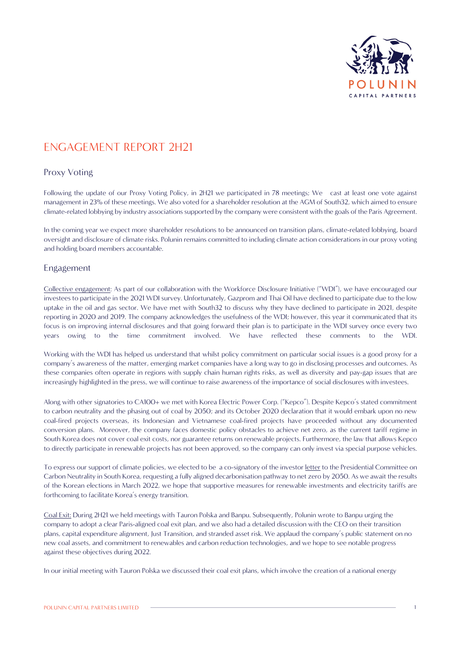

## ENGAGEMENT REPORT 2H21

## Proxy Voting

Following the update of our Proxy Voting Policy, in 2H21 we participated in 78 meetings; We cast at least one vote against management in 23% of these meetings. We also voted for a shareholder resolution at the AGM of South32, which aimed to ensure climate-related lobbying by industry associations supported by the company were consistent with the goals of the Paris Agreement.

In the coming year we expect more shareholder resolutions to be announced on transition plans, climate-related lobbying, board oversight and disclosure of climate risks. Polunin remains committed to including climate action considerations in our proxy voting and holding board members accountable.

## Engagement

Collective engagement: As part of our collaboration with the Workforce Disclosure Initiative ("WDI"), we have encouraged our investees to participate in the 2021 WDI survey. Unfortunately, Gazprom and Thai Oil have declined to participate due to the low uptake in the oil and gas sector. We have met with South32 to discuss why they have declined to participate in 2021, despite reporting in 2020 and 2019. The company acknowledges the usefulness of the WDI; however, this year it communicated that its focus is on improving internal disclosures and that going forward their plan is to participate in the WDI survey once every two years owing to the time commitment involved. We have reflected these comments to the WDI.

Working with the WDI has helped us understand that whilst policy commitment on particular social issues is a good proxy for a company's awareness of the matter, emerging market companies have a long way to go in disclosing processes and outcomes. As these companies often operate in regions with supply chain human rights risks, as well as diversity and pay-gap issues that are increasingly highlighted in the press, we will continue to raise awareness of the importance of social disclosures with investees.

Along with other signatories to CA100+ we met with Korea Electric Power Corp. ("Kepco"). Despite Kepco's stated commitment to carbon neutrality and the phasing out of coal by 2050; and its October 2020 declaration that it would embark upon no new coal-fired projects overseas, its Indonesian and Vietnamese coal-fired projects have proceeded without any documented conversion plans. Moreover, the company faces domestic policy obstacles to achieve net zero, as the current tariff regime in South Korea does not cover coal exit costs, nor guarantee returns on renewable projects. Furthermore, the law that allows Kepco to directly participate in renewable projects has not been approved, so the company can only invest via special purpose vehicles.

To express our support of climate policies, we elected to be a co-signatory of the investor [letter](https://www.climateaction100.org/news/climate-action-100-investors-encourage-korean-republic-presidential-committee-on-carbon-neutrality-to-support-companies-with-clear-2050-decarbonisation-pathways/) to the Presidential Committee on Carbon Neutrality in South Korea, requesting a fully aligned decarbonisation pathway to net zero by 2050. As we await the results of the Korean elections in March 2022, we hope that supportive measures for renewable investments and electricity tariffs are forthcoming to facilitate Korea's energy transition.

Coal Exit: During 2H21 we held meetings with Tauron Polska and Banpu. Subsequently, Polunin wrote to Banpu urging the company to adopt a clear Paris-aligned coal exit plan, and we also had a detailed discussion with the CEO on their transition plans, capital expenditure alignment, Just Transition, and stranded asset risk. We applaud the company's public statement on no new coal assets, and commitment to renewables and carbon reduction technologies, and we hope to see notable progress against these objectives during 2022.

In our initial meeting with Tauron Polska we discussed their coal exit plans, which involve the creation of a national energy